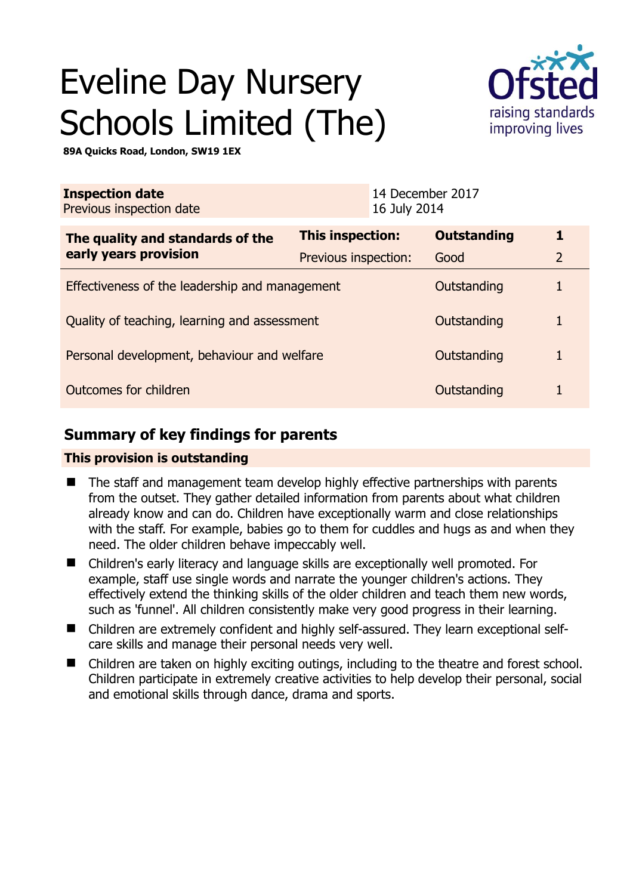# Eveline Day Nursery Schools Limited (The)



**89A Quicks Road, London, SW19 1EX** 

| <b>Inspection date</b><br>Previous inspection date        |                      | 14 December 2017<br>16 July 2014 |                    |                |
|-----------------------------------------------------------|----------------------|----------------------------------|--------------------|----------------|
| The quality and standards of the<br>early years provision | This inspection:     |                                  | <b>Outstanding</b> | 1              |
|                                                           | Previous inspection: |                                  | Good               | $\overline{2}$ |
| Effectiveness of the leadership and management            |                      |                                  | Outstanding        |                |
| Quality of teaching, learning and assessment              |                      |                                  | Outstanding        | 1              |
| Personal development, behaviour and welfare               |                      |                                  | Outstanding        |                |
| Outcomes for children                                     |                      |                                  | Outstanding        |                |

# **Summary of key findings for parents**

## **This provision is outstanding**

- The staff and management team develop highly effective partnerships with parents from the outset. They gather detailed information from parents about what children already know and can do. Children have exceptionally warm and close relationships with the staff. For example, babies go to them for cuddles and hugs as and when they need. The older children behave impeccably well.
- Children's early literacy and language skills are exceptionally well promoted. For example, staff use single words and narrate the younger children's actions. They effectively extend the thinking skills of the older children and teach them new words, such as 'funnel'. All children consistently make very good progress in their learning.
- Children are extremely confident and highly self-assured. They learn exceptional selfcare skills and manage their personal needs very well.
- Children are taken on highly exciting outings, including to the theatre and forest school. Children participate in extremely creative activities to help develop their personal, social and emotional skills through dance, drama and sports.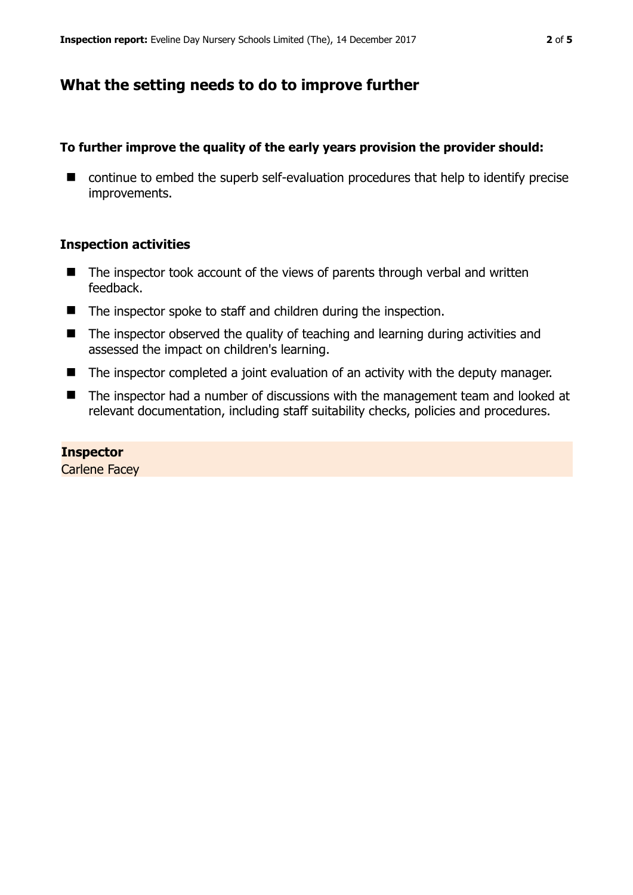# **What the setting needs to do to improve further**

## **To further improve the quality of the early years provision the provider should:**

■ continue to embed the superb self-evaluation procedures that help to identify precise improvements.

## **Inspection activities**

- $\blacksquare$  The inspector took account of the views of parents through verbal and written feedback.
- The inspector spoke to staff and children during the inspection.
- The inspector observed the quality of teaching and learning during activities and assessed the impact on children's learning.
- The inspector completed a joint evaluation of an activity with the deputy manager.
- The inspector had a number of discussions with the management team and looked at relevant documentation, including staff suitability checks, policies and procedures.

## **Inspector**

Carlene Facey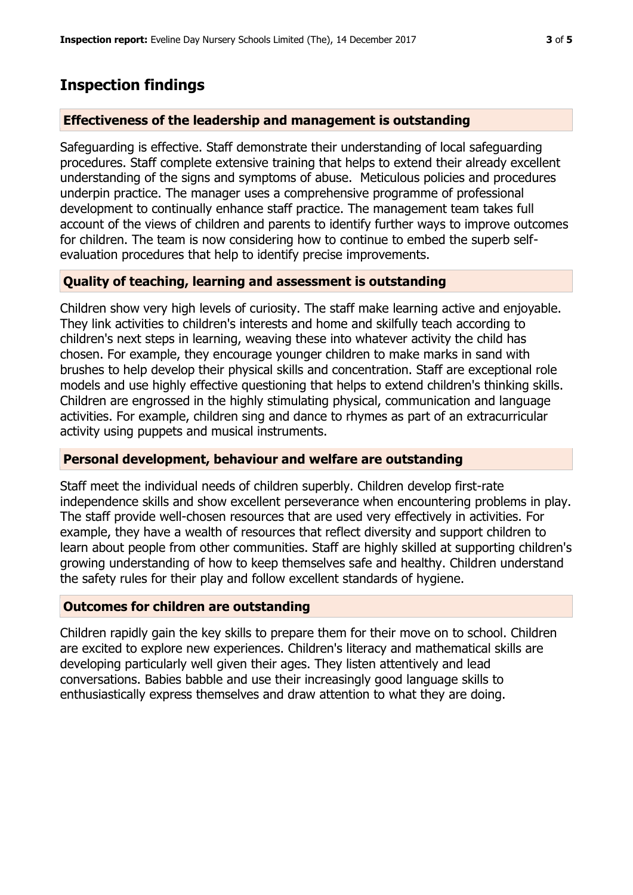## **Inspection findings**

## **Effectiveness of the leadership and management is outstanding**

Safeguarding is effective. Staff demonstrate their understanding of local safeguarding procedures. Staff complete extensive training that helps to extend their already excellent understanding of the signs and symptoms of abuse. Meticulous policies and procedures underpin practice. The manager uses a comprehensive programme of professional development to continually enhance staff practice. The management team takes full account of the views of children and parents to identify further ways to improve outcomes for children. The team is now considering how to continue to embed the superb selfevaluation procedures that help to identify precise improvements.

## **Quality of teaching, learning and assessment is outstanding**

Children show very high levels of curiosity. The staff make learning active and enjoyable. They link activities to children's interests and home and skilfully teach according to children's next steps in learning, weaving these into whatever activity the child has chosen. For example, they encourage younger children to make marks in sand with brushes to help develop their physical skills and concentration. Staff are exceptional role models and use highly effective questioning that helps to extend children's thinking skills. Children are engrossed in the highly stimulating physical, communication and language activities. For example, children sing and dance to rhymes as part of an extracurricular activity using puppets and musical instruments.

#### **Personal development, behaviour and welfare are outstanding**

Staff meet the individual needs of children superbly. Children develop first-rate independence skills and show excellent perseverance when encountering problems in play. The staff provide well-chosen resources that are used very effectively in activities. For example, they have a wealth of resources that reflect diversity and support children to learn about people from other communities. Staff are highly skilled at supporting children's growing understanding of how to keep themselves safe and healthy. Children understand the safety rules for their play and follow excellent standards of hygiene.

## **Outcomes for children are outstanding**

Children rapidly gain the key skills to prepare them for their move on to school. Children are excited to explore new experiences. Children's literacy and mathematical skills are developing particularly well given their ages. They listen attentively and lead conversations. Babies babble and use their increasingly good language skills to enthusiastically express themselves and draw attention to what they are doing.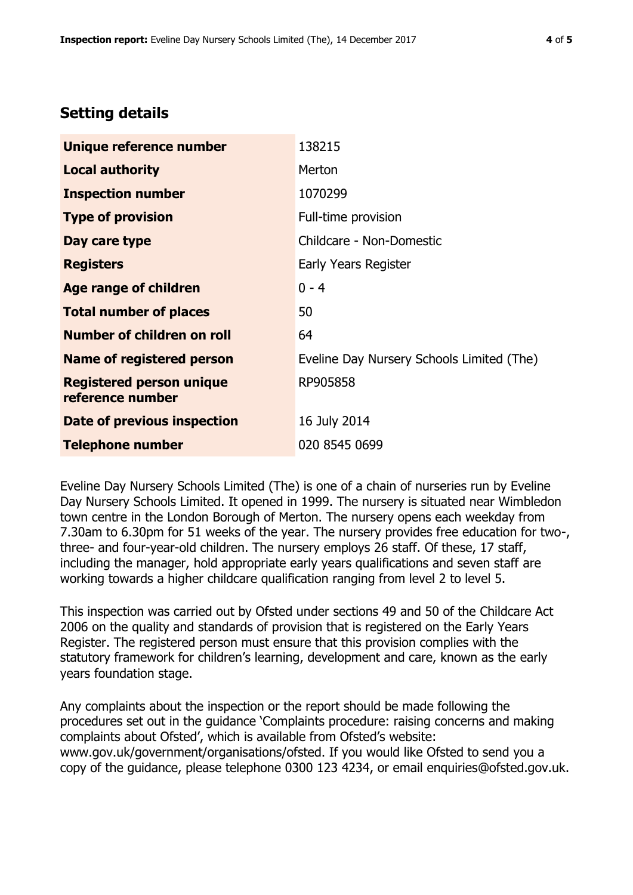# **Setting details**

| Unique reference number                             | 138215                                    |  |  |
|-----------------------------------------------------|-------------------------------------------|--|--|
| <b>Local authority</b>                              | Merton                                    |  |  |
| <b>Inspection number</b>                            | 1070299                                   |  |  |
| <b>Type of provision</b>                            | Full-time provision                       |  |  |
| Day care type                                       | Childcare - Non-Domestic                  |  |  |
| <b>Registers</b>                                    | Early Years Register                      |  |  |
| <b>Age range of children</b>                        | $0 - 4$                                   |  |  |
| <b>Total number of places</b>                       | 50                                        |  |  |
| Number of children on roll                          | 64                                        |  |  |
| Name of registered person                           | Eveline Day Nursery Schools Limited (The) |  |  |
| <b>Registered person unique</b><br>reference number | RP905858                                  |  |  |
| Date of previous inspection                         | 16 July 2014                              |  |  |
| <b>Telephone number</b>                             | 020 8545 0699                             |  |  |

Eveline Day Nursery Schools Limited (The) is one of a chain of nurseries run by Eveline Day Nursery Schools Limited. It opened in 1999. The nursery is situated near Wimbledon town centre in the London Borough of Merton. The nursery opens each weekday from 7.30am to 6.30pm for 51 weeks of the year. The nursery provides free education for two-, three- and four-year-old children. The nursery employs 26 staff. Of these, 17 staff, including the manager, hold appropriate early years qualifications and seven staff are working towards a higher childcare qualification ranging from level 2 to level 5.

This inspection was carried out by Ofsted under sections 49 and 50 of the Childcare Act 2006 on the quality and standards of provision that is registered on the Early Years Register. The registered person must ensure that this provision complies with the statutory framework for children's learning, development and care, known as the early years foundation stage.

Any complaints about the inspection or the report should be made following the procedures set out in the guidance 'Complaints procedure: raising concerns and making complaints about Ofsted', which is available from Ofsted's website: www.gov.uk/government/organisations/ofsted. If you would like Ofsted to send you a copy of the guidance, please telephone 0300 123 4234, or email enquiries@ofsted.gov.uk.